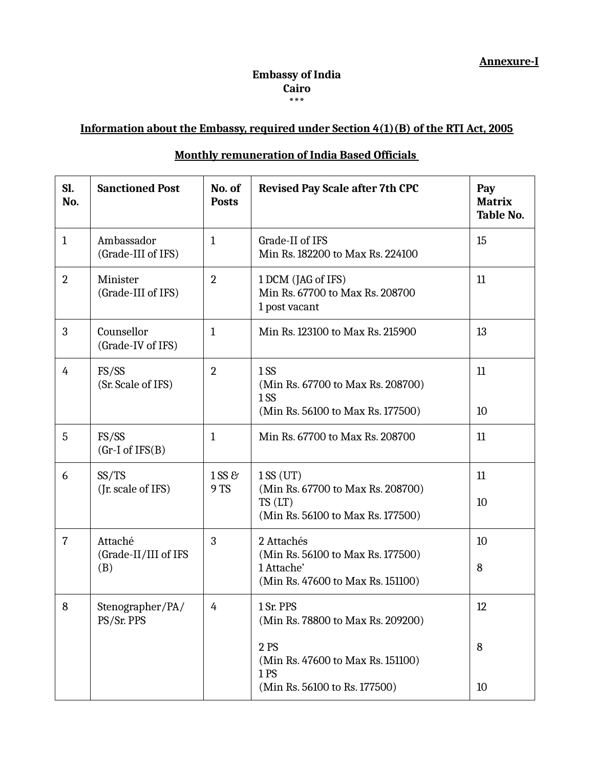## **Embassy of India Cairo \*\*\***

## **Information about the Embassy, required under Section 4(1)(B) of the RTI Act, 2005**

## **Monthly remuneration of India Based Officials**

| Sl.<br>No.     | <b>Sanctioned Post</b>           | No. of<br><b>Posts</b> | <b>Revised Pay Scale after 7th CPC</b>                                               | Pay<br><b>Matrix</b><br><b>Table No.</b> |
|----------------|----------------------------------|------------------------|--------------------------------------------------------------------------------------|------------------------------------------|
| $\mathbf{1}$   | Ambassador<br>(Grade-III of IFS) | $\mathbf{1}$           | Grade-II of IFS<br>Min Rs. 182200 to Max Rs. 224100                                  | 15                                       |
| $\overline{2}$ | Minister<br>(Grade-III of IFS)   | $\overline{2}$         | 1 DCM (JAG of IFS)<br>Min Rs. 67700 to Max Rs. 208700<br>1 post vacant               | 11                                       |
| 3              | Counsellor<br>(Grade-IV of IFS)  | $\mathbf{1}$           | Min Rs. 123100 to Max Rs. 215900                                                     | 13                                       |
| 4              | FS/SS<br>(Sr. Scale of IFS)      | $\overline{2}$         | 1S <sub>S</sub><br>(Min Rs. 67700 to Max Rs. 208700)<br>1SS                          | 11                                       |
|                |                                  |                        | (Min Rs. 56100 to Max Rs. 177500)                                                    | 10                                       |
| 5              | FS/SS<br>$(Gr-I of IFS(B))$      | $\mathbf{1}$           | Min Rs. 67700 to Max Rs. 208700                                                      | 11                                       |
| 6              | SS/TS                            | 1 SS &                 | 1SS(UT)                                                                              | 11                                       |
|                | (Jr. scale of IFS)               | 9 TS                   | (Min Rs. 67700 to Max Rs. 208700)<br>TS(LT)<br>(Min Rs. 56100 to Max Rs. 177500)     | 10                                       |
| $\overline{7}$ | Attaché                          | 3                      | 2 Attachés                                                                           | 10                                       |
|                | (Grade-II/III of IFS<br>(B)      |                        | (Min Rs. 56100 to Max Rs. 177500)<br>1 Attache'<br>(Min Rs. 47600 to Max Rs. 151100) | 8                                        |
| 8              | Stenographer/PA/<br>PS/Sr. PPS   | 4                      | 1 Sr. PPS<br>(Min Rs. 78800 to Max Rs. 209200)                                       | 12                                       |
|                |                                  |                        | 2 PS<br>(Min Rs. 47600 to Max Rs. 151100)<br>1PS                                     | 8                                        |
|                |                                  |                        | (Min Rs. 56100 to Rs. 177500)                                                        | 10                                       |